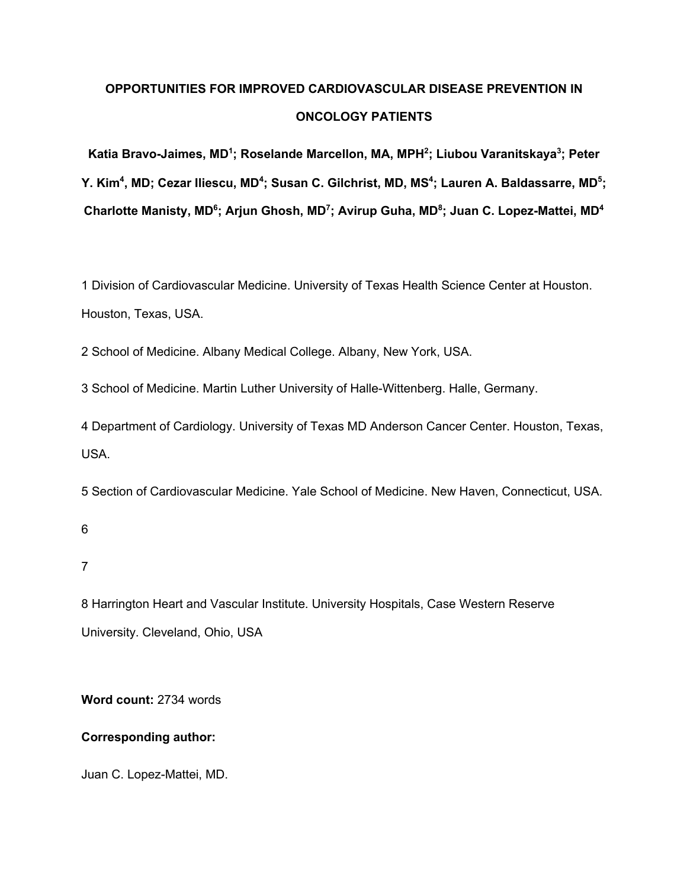# **OPPORTUNITIES FOR IMPROVED CARDIOVASCULAR DISEASE PREVENTION IN ONCOLOGY PATIENTS**

**Katia Bravo-Jaimes, MD1 ; Roselande Marcellon, MA, MPH2 ; Liubou Varanitskaya3 ; Peter**  Y. Kim<sup>4</sup>, MD; Cezar Iliescu, MD<sup>4</sup>; Susan C. Gilchrist, MD, MS<sup>4</sup>; Lauren A. Baldassarre, MD<sup>5</sup>; **Charlotte Manisty, MD6 ; Arjun Ghosh, MD7 ; Avirup Guha, MD8 ; Juan C. Lopez-Mattei, MD4**

1 Division of Cardiovascular Medicine. University of Texas Health Science Center at Houston. Houston, Texas, USA.

2 School of Medicine. Albany Medical College. Albany, New York, USA.

3 School of Medicine. Martin Luther University of Halle-Wittenberg. Halle, Germany.

4 Department of Cardiology. University of Texas MD Anderson Cancer Center. Houston, Texas, USA.

5 Section of Cardiovascular Medicine. Yale School of Medicine. New Haven, Connecticut, USA.

6

7

8 Harrington Heart and Vascular Institute. University Hospitals, Case Western Reserve University. Cleveland, Ohio, USA

**Word count:** 2734 words

### **Corresponding author:**

Juan C. Lopez-Mattei, MD.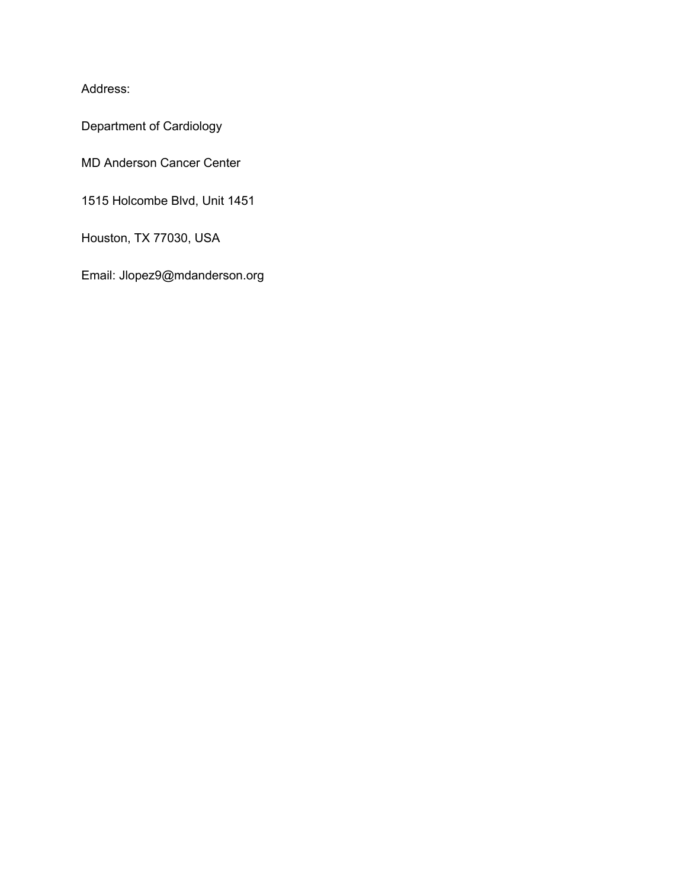Address:

Department of Cardiology

MD Anderson Cancer Center

1515 Holcombe Blvd, Unit 1451

Houston, TX 77030, USA

Email: Jlopez9@mdanderson.org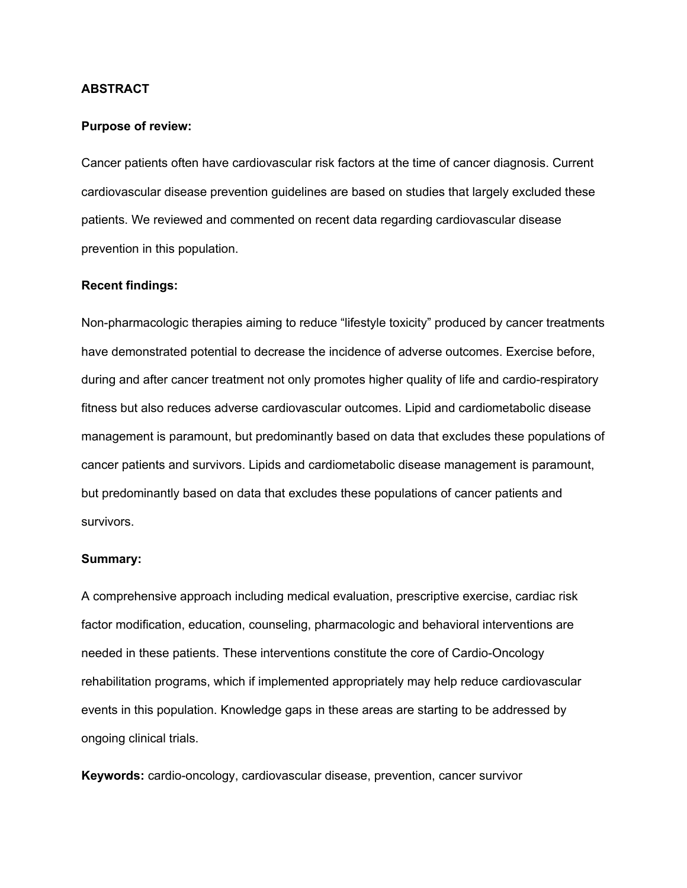### **ABSTRACT**

### **Purpose of review:**

Cancer patients often have cardiovascular risk factors at the time of cancer diagnosis. Current cardiovascular disease prevention guidelines are based on studies that largely excluded these patients. We reviewed and commented on recent data regarding cardiovascular disease prevention in this population.

### **Recent findings:**

Non-pharmacologic therapies aiming to reduce "lifestyle toxicity" produced by cancer treatments have demonstrated potential to decrease the incidence of adverse outcomes. Exercise before, during and after cancer treatment not only promotes higher quality of life and cardio-respiratory fitness but also reduces adverse cardiovascular outcomes. Lipid and cardiometabolic disease management is paramount, but predominantly based on data that excludes these populations of cancer patients and survivors. Lipids and cardiometabolic disease management is paramount, but predominantly based on data that excludes these populations of cancer patients and survivors.

#### **Summary:**

A comprehensive approach including medical evaluation, prescriptive exercise, cardiac risk factor modification, education, counseling, pharmacologic and behavioral interventions are needed in these patients. These interventions constitute the core of Cardio-Oncology rehabilitation programs, which if implemented appropriately may help reduce cardiovascular events in this population. Knowledge gaps in these areas are starting to be addressed by ongoing clinical trials.

**Keywords:** cardio-oncology, cardiovascular disease, prevention, cancer survivor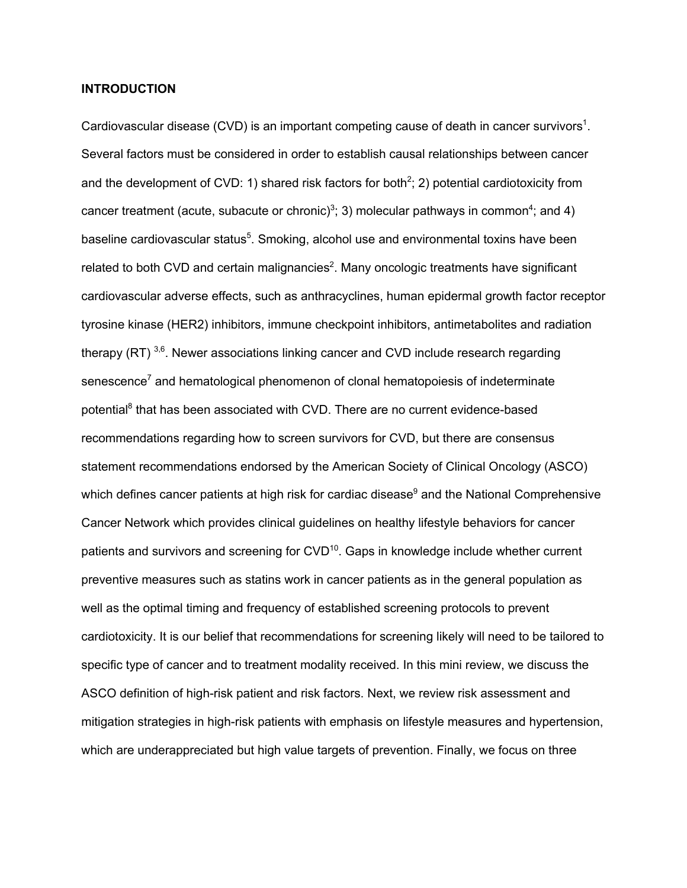### **INTRODUCTION**

Cardiovascular disease (CVD) is an important competing cause of death in cancer survivors<sup>1</sup>. Several factors must be considered in order to establish causal relationships between cancer and the development of CVD: 1) shared risk factors for both<sup>2</sup>; 2) potential cardiotoxicity from cancer treatment (acute, subacute or chronic)<sup>3</sup>; 3) molecular pathways in common<sup>4</sup>; and 4) baseline cardiovascular status<sup>5</sup>. Smoking, alcohol use and environmental toxins have been related to both CVD and certain malignancies<sup>2</sup>. Many oncologic treatments have significant cardiovascular adverse effects, such as anthracyclines, human epidermal growth factor receptor tyrosine kinase (HER2) inhibitors, immune checkpoint inhibitors, antimetabolites and radiation therapy (RT)  $3,6$ . Newer associations linking cancer and CVD include research regarding senescence<sup>7</sup> and hematological phenomenon of clonal hematopoiesis of indeterminate potential<sup>8</sup> that has been associated with CVD. There are no current evidence-based recommendations regarding how to screen survivors for CVD, but there are consensus statement recommendations endorsed by the American Society of Clinical Oncology (ASCO) which defines cancer patients at high risk for cardiac disease $9$  and the National Comprehensive Cancer Network which provides clinical guidelines on healthy lifestyle behaviors for cancer patients and survivors and screening for CVD<sup>10</sup>. Gaps in knowledge include whether current preventive measures such as statins work in cancer patients as in the general population as well as the optimal timing and frequency of established screening protocols to prevent cardiotoxicity. It is our belief that recommendations for screening likely will need to be tailored to specific type of cancer and to treatment modality received. In this mini review, we discuss the ASCO definition of high-risk patient and risk factors. Next, we review risk assessment and mitigation strategies in high-risk patients with emphasis on lifestyle measures and hypertension, which are underappreciated but high value targets of prevention. Finally, we focus on three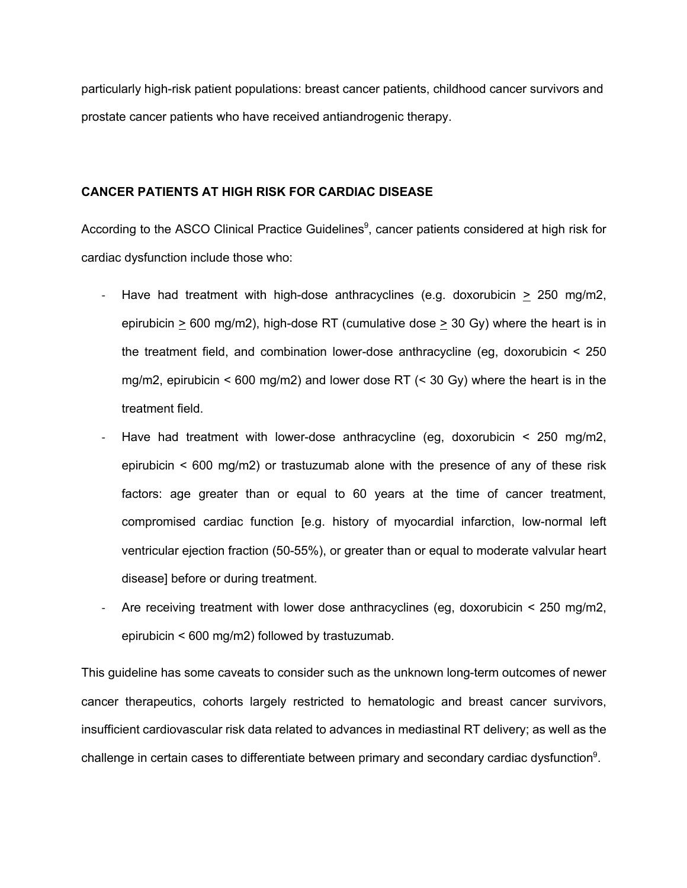particularly high-risk patient populations: breast cancer patients, childhood cancer survivors and prostate cancer patients who have received antiandrogenic therapy.

### **CANCER PATIENTS AT HIGH RISK FOR CARDIAC DISEASE**

According to the ASCO Clinical Practice Guidelines<sup>9</sup>, cancer patients considered at high risk for cardiac dysfunction include those who:

- Have had treatment with high-dose anthracyclines (e.g. doxorubicin  $\geq$  250 mg/m2, epirubicin  $> 600 \text{ mg/m2}$ , high-dose RT (cumulative dose  $> 30 \text{ Gy}$ ) where the heart is in the treatment field, and combination lower-dose anthracycline (eg, doxorubicin < 250 mg/m2, epirubicin < 600 mg/m2) and lower dose RT (< 30 Gy) where the heart is in the treatment field.
- Have had treatment with lower-dose anthracycline (eg, doxorubicin  $\leq$  250 mg/m2, epirubicin < 600 mg/m2) or trastuzumab alone with the presence of any of these risk factors: age greater than or equal to 60 years at the time of cancer treatment, compromised cardiac function [e.g. history of myocardial infarction, low-normal left ventricular ejection fraction (50-55%), or greater than or equal to moderate valvular heart disease] before or during treatment.
- Are receiving treatment with lower dose anthracyclines (eg, doxorubicin < 250 mg/m2, epirubicin < 600 mg/m2) followed by trastuzumab.

This guideline has some caveats to consider such as the unknown long-term outcomes of newer cancer therapeutics, cohorts largely restricted to hematologic and breast cancer survivors, insufficient cardiovascular risk data related to advances in mediastinal RT delivery; as well as the challenge in certain cases to differentiate between primary and secondary cardiac dysfunction<sup>9</sup>.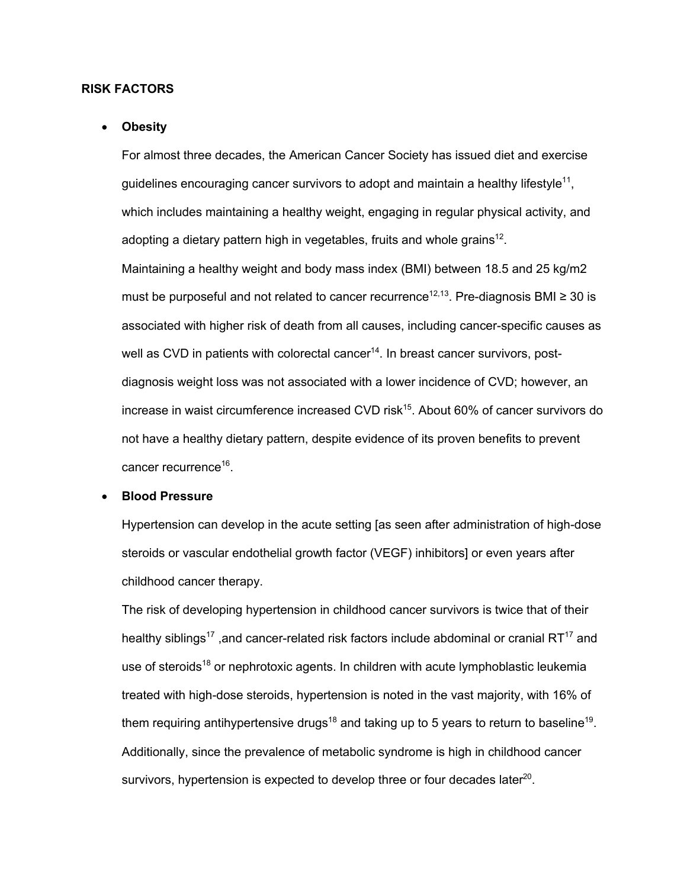### **RISK FACTORS**

#### • **Obesity**

For almost three decades, the American Cancer Society has issued diet and exercise guidelines encouraging cancer survivors to adopt and maintain a healthy lifestyle<sup>11</sup>, which includes maintaining a healthy weight, engaging in regular physical activity, and adopting a dietary pattern high in vegetables, fruits and whole grains<sup>12</sup>.

Maintaining a healthy weight and body mass index (BMI) between 18.5 and 25 kg/m2 must be purposeful and not related to cancer recurrence<sup>12,13</sup>. Pre-diagnosis BMI ≥ 30 is associated with higher risk of death from all causes, including cancer-specific causes as well as CVD in patients with colorectal cancer $14$ . In breast cancer survivors, postdiagnosis weight loss was not associated with a lower incidence of CVD; however, an increase in waist circumference increased CVD risk $15$ . About 60% of cancer survivors do not have a healthy dietary pattern, despite evidence of its proven benefits to prevent cancer recurrence<sup>16</sup>.

### • **Blood Pressure**

Hypertension can develop in the acute setting [as seen after administration of high-dose steroids or vascular endothelial growth factor (VEGF) inhibitors] or even years after childhood cancer therapy.

The risk of developing hypertension in childhood cancer survivors is twice that of their healthy siblings<sup>17</sup>, and cancer-related risk factors include abdominal or cranial RT<sup>17</sup> and use of steroids<sup>18</sup> or nephrotoxic agents. In children with acute lymphoblastic leukemia treated with high-dose steroids, hypertension is noted in the vast majority, with 16% of them requiring antihypertensive drugs<sup>18</sup> and taking up to 5 years to return to baseline<sup>19</sup>. Additionally, since the prevalence of metabolic syndrome is high in childhood cancer survivors, hypertension is expected to develop three or four decades later<sup>20</sup>.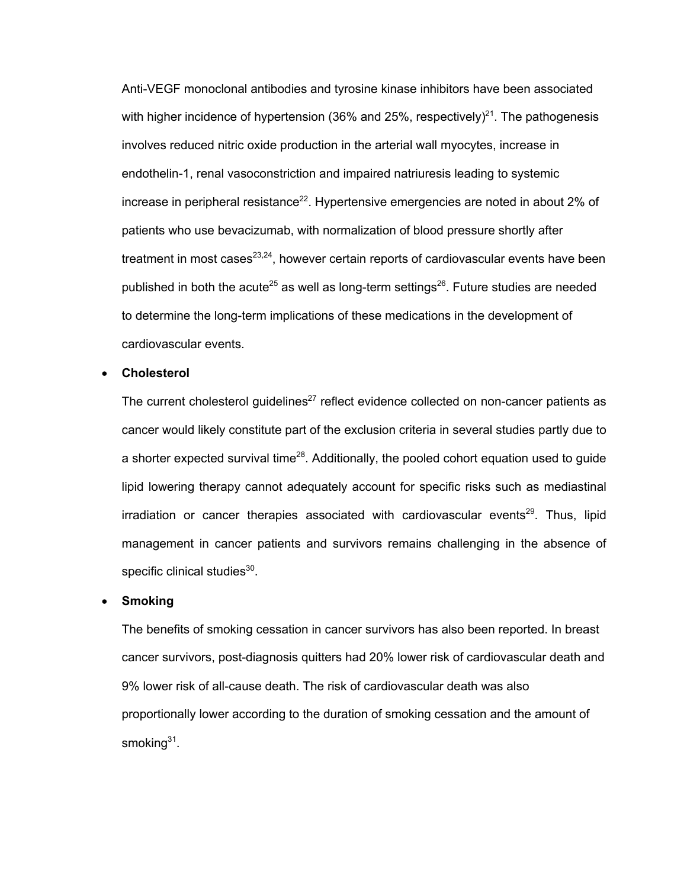Anti-VEGF monoclonal antibodies and tyrosine kinase inhibitors have been associated with higher incidence of hypertension (36% and 25%, respectively)<sup>21</sup>. The pathogenesis involves reduced nitric oxide production in the arterial wall myocytes, increase in endothelin-1, renal vasoconstriction and impaired natriuresis leading to systemic increase in peripheral resistance<sup>22</sup>. Hypertensive emergencies are noted in about 2% of patients who use bevacizumab, with normalization of blood pressure shortly after treatment in most cases $^{23,24}$ , however certain reports of cardiovascular events have been published in both the acute<sup>25</sup> as well as long-term settings<sup>26</sup>. Future studies are needed to determine the long-term implications of these medications in the development of cardiovascular events.

#### • **Cholesterol**

The current cholesterol guidelines<sup>27</sup> reflect evidence collected on non-cancer patients as cancer would likely constitute part of the exclusion criteria in several studies partly due to a shorter expected survival time<sup>28</sup>. Additionally, the pooled cohort equation used to quide lipid lowering therapy cannot adequately account for specific risks such as mediastinal  $irradiation$  or cancer therapies associated with cardiovascular events<sup>29</sup>. Thus, lipid management in cancer patients and survivors remains challenging in the absence of specific clinical studies $30$ .

#### • **Smoking**

The benefits of smoking cessation in cancer survivors has also been reported. In breast cancer survivors, post-diagnosis quitters had 20% lower risk of cardiovascular death and 9% lower risk of all-cause death. The risk of cardiovascular death was also proportionally lower according to the duration of smoking cessation and the amount of smoking $31$ .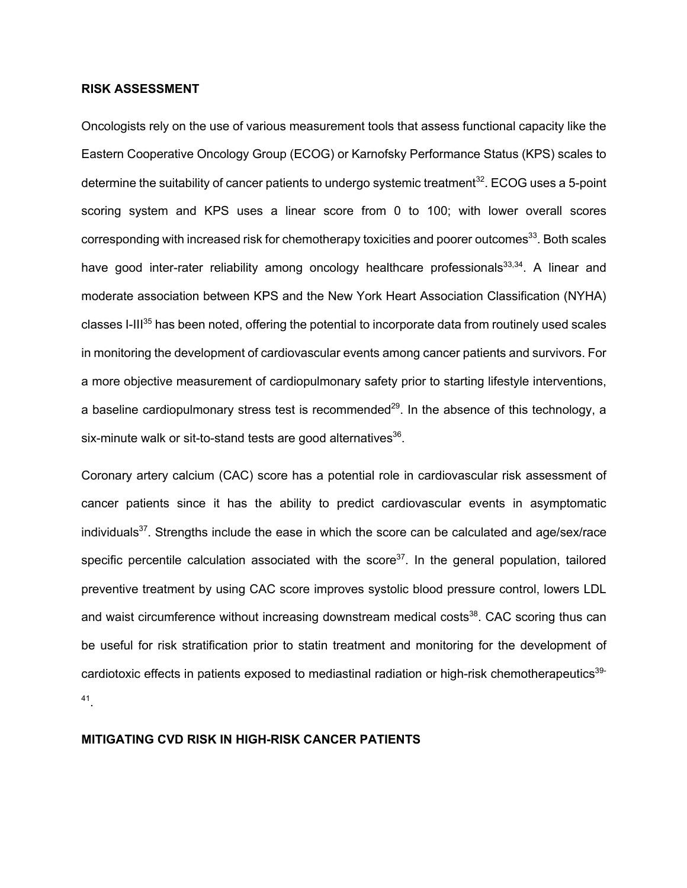### **RISK ASSESSMENT**

Oncologists rely on the use of various measurement tools that assess functional capacity like the Eastern Cooperative Oncology Group (ECOG) or Karnofsky Performance Status (KPS) scales to determine the suitability of cancer patients to undergo systemic treatment<sup>32</sup>. ECOG uses a 5-point scoring system and KPS uses a linear score from 0 to 100; with lower overall scores corresponding with increased risk for chemotherapy toxicities and poorer outcomes $^{33}$ . Both scales have good inter-rater reliability among oncology healthcare professionals<sup>33,34</sup>. A linear and moderate association between KPS and the New York Heart Association Classification (NYHA) classes I-III<sup>35</sup> has been noted, offering the potential to incorporate data from routinely used scales in monitoring the development of cardiovascular events among cancer patients and survivors. For a more objective measurement of cardiopulmonary safety prior to starting lifestyle interventions, a baseline cardiopulmonary stress test is recommended<sup>29</sup>. In the absence of this technology, a six-minute walk or sit-to-stand tests are good alternatives $36$ .

Coronary artery calcium (CAC) score has a potential role in cardiovascular risk assessment of cancer patients since it has the ability to predict cardiovascular events in asymptomatic individuals<sup>37</sup>. Strengths include the ease in which the score can be calculated and age/sex/race specific percentile calculation associated with the score $37$ . In the general population, tailored preventive treatment by using CAC score improves systolic blood pressure control, lowers LDL and waist circumference without increasing downstream medical costs<sup>38</sup>. CAC scoring thus can be useful for risk stratification prior to statin treatment and monitoring for the development of cardiotoxic effects in patients exposed to mediastinal radiation or high-risk chemotherapeutics<sup>39-</sup> 41.

### **MITIGATING CVD RISK IN HIGH-RISK CANCER PATIENTS**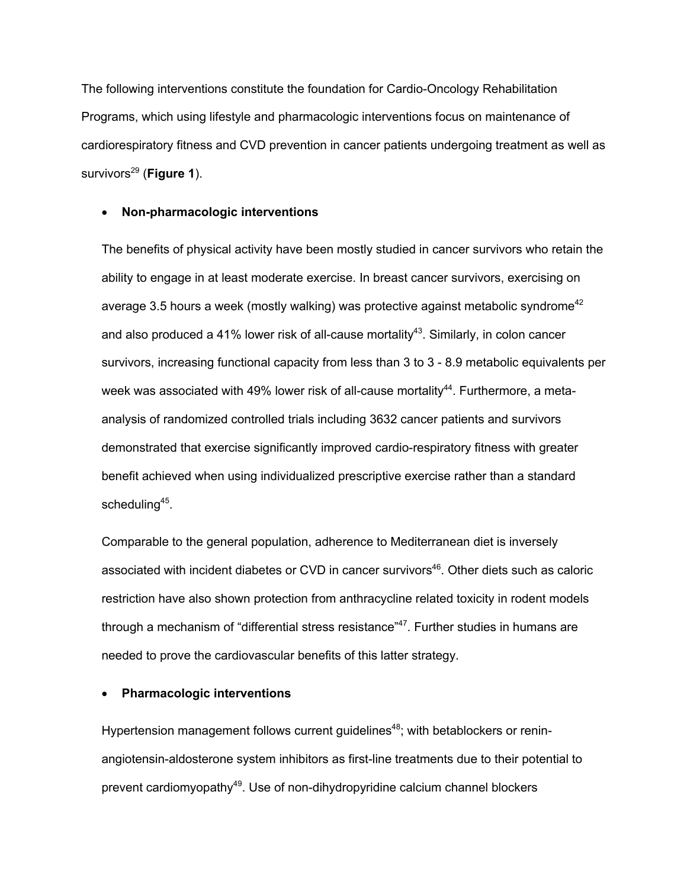The following interventions constitute the foundation for Cardio-Oncology Rehabilitation Programs, which using lifestyle and pharmacologic interventions focus on maintenance of cardiorespiratory fitness and CVD prevention in cancer patients undergoing treatment as well as survivors<sup>29</sup> (Figure 1).

### • **Non-pharmacologic interventions**

The benefits of physical activity have been mostly studied in cancer survivors who retain the ability to engage in at least moderate exercise. In breast cancer survivors, exercising on average 3.5 hours a week (mostly walking) was protective against metabolic syndrome<sup>42</sup> and also produced a 41% lower risk of all-cause mortality<sup>43</sup>. Similarly, in colon cancer survivors, increasing functional capacity from less than 3 to 3 - 8.9 metabolic equivalents per week was associated with 49% lower risk of all-cause mortality<sup>44</sup>. Furthermore, a metaanalysis of randomized controlled trials including 3632 cancer patients and survivors demonstrated that exercise significantly improved cardio-respiratory fitness with greater benefit achieved when using individualized prescriptive exercise rather than a standard scheduling<sup>45</sup>.

Comparable to the general population, adherence to Mediterranean diet is inversely associated with incident diabetes or CVD in cancer survivors<sup>46</sup>. Other diets such as caloric restriction have also shown protection from anthracycline related toxicity in rodent models through a mechanism of "differential stress resistance"<sup>47</sup>. Further studies in humans are needed to prove the cardiovascular benefits of this latter strategy.

### • **Pharmacologic interventions**

Hypertension management follows current guidelines<sup>48</sup>; with betablockers or reninangiotensin-aldosterone system inhibitors as first-line treatments due to their potential to prevent cardiomyopathy<sup>49</sup>. Use of non-dihydropyridine calcium channel blockers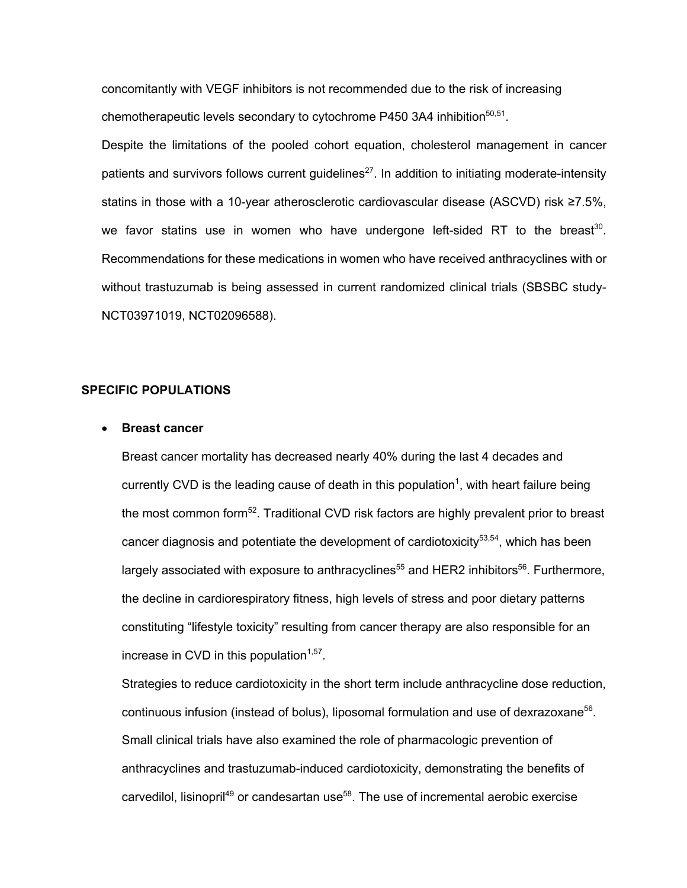concomitantly with VEGF inhibitors is not recommended due to the risk of increasing chemotherapeutic levels secondary to cytochrome P450 3A4 inhibition $50,51$ .

Despite the limitations of the pooled cohort equation, cholesterol management in cancer patients and survivors follows current quidelines<sup>27</sup>. In addition to initiating moderate-intensity statins in those with a 10-year atherosclerotic cardiovascular disease (ASCVD) risk ≥7.5%, we favor statins use in women who have undergone left-sided RT to the breast<sup>30</sup>. Recommendations for these medications in women who have received anthracyclines with or without trastuzumab is being assessed in current randomized clinical trials (SBSBC study-NCT03971019, NCT02096588).

### **SPECIFIC POPULATIONS**

### • **Breast cancer**

Breast cancer mortality has decreased nearly 40% during the last 4 decades and currently CVD is the leading cause of death in this population<sup>1</sup>, with heart failure being the most common form<sup>52</sup>. Traditional CVD risk factors are highly prevalent prior to breast cancer diagnosis and potentiate the development of cardiotoxicity<sup>53,54</sup>, which has been largely associated with exposure to anthracyclines<sup>55</sup> and HER2 inhibitors<sup>56</sup>. Furthermore, the decline in cardiorespiratory fitness, high levels of stress and poor dietary patterns constituting "lifestyle toxicity" resulting from cancer therapy are also responsible for an increase in CVD in this population $1,57$ .

Strategies to reduce cardiotoxicity in the short term include anthracycline dose reduction, continuous infusion (instead of bolus), liposomal formulation and use of dexrazoxane<sup>56</sup>. Small clinical trials have also examined the role of pharmacologic prevention of anthracyclines and trastuzumab-induced cardiotoxicity, demonstrating the benefits of carvedilol, lisinopril<sup>49</sup> or candesartan use<sup>58</sup>. The use of incremental aerobic exercise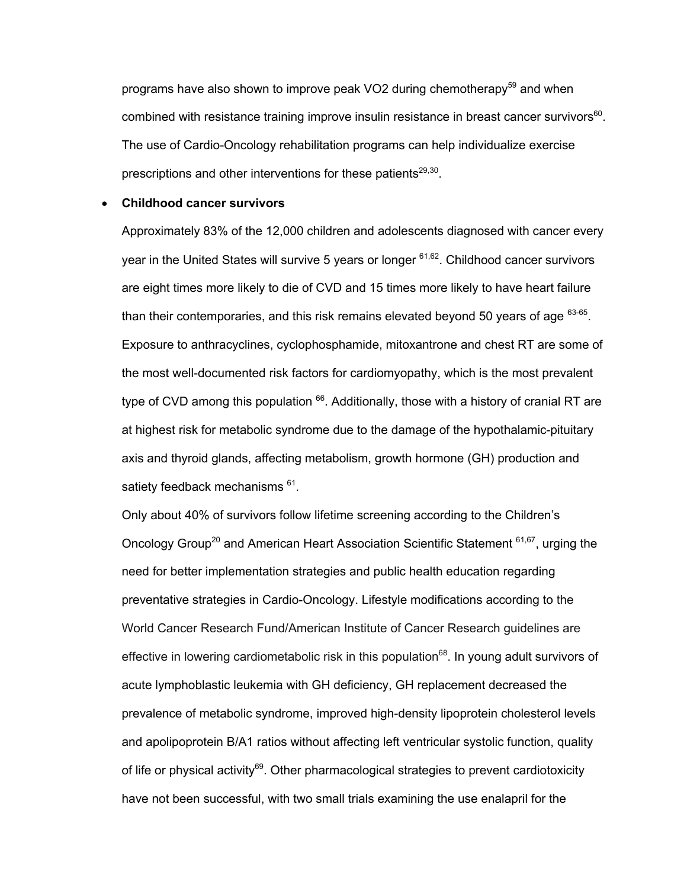programs have also shown to improve peak VO2 during chemotherapy<sup>59</sup> and when combined with resistance training improve insulin resistance in breast cancer survivors<sup>60</sup>. The use of Cardio-Oncology rehabilitation programs can help individualize exercise prescriptions and other interventions for these patients $29,30$ .

### • **Childhood cancer survivors**

Approximately 83% of the 12,000 children and adolescents diagnosed with cancer every year in the United States will survive 5 years or longer <sup>61,62</sup>. Childhood cancer survivors are eight times more likely to die of CVD and 15 times more likely to have heart failure than their contemporaries, and this risk remains elevated beyond 50 years of age  $63-65$ . Exposure to anthracyclines, cyclophosphamide, mitoxantrone and chest RT are some of the most well-documented risk factors for cardiomyopathy, which is the most prevalent type of CVD among this population  $66$ . Additionally, those with a history of cranial RT are at highest risk for metabolic syndrome due to the damage of the hypothalamic-pituitary axis and thyroid glands, affecting metabolism, growth hormone (GH) production and satiety feedback mechanisms <sup>61</sup>.

Only about 40% of survivors follow lifetime screening according to the Children's Oncology Group<sup>20</sup> and American Heart Association Scientific Statement <sup>61,67</sup>, urging the need for better implementation strategies and public health education regarding preventative strategies in Cardio-Oncology. Lifestyle modifications according to the World Cancer Research Fund/American Institute of Cancer Research guidelines are effective in lowering cardiometabolic risk in this population<sup>68</sup>. In young adult survivors of acute lymphoblastic leukemia with GH deficiency, GH replacement decreased the prevalence of metabolic syndrome, improved high-density lipoprotein cholesterol levels and apolipoprotein B/A1 ratios without affecting left ventricular systolic function, quality of life or physical activity $^{69}$ . Other pharmacological strategies to prevent cardiotoxicity have not been successful, with two small trials examining the use enalapril for the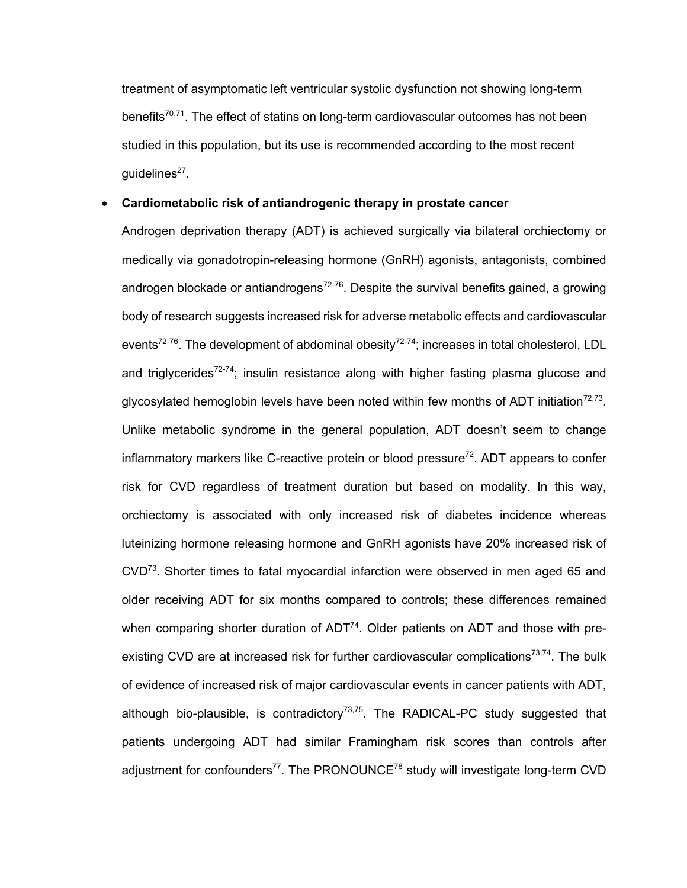treatment of asymptomatic left ventricular systolic dysfunction not showing long-term benefits $70,71$ . The effect of statins on long-term cardiovascular outcomes has not been studied in this population, but its use is recommended according to the most recent quidelines $27$ .

### • **Cardiometabolic risk of antiandrogenic therapy in prostate cancer**

Androgen deprivation therapy (ADT) is achieved surgically via bilateral orchiectomy or medically via gonadotropin-releasing hormone (GnRH) agonists, antagonists, combined androgen blockade or antiandrogens<sup>72-76</sup>. Despite the survival benefits gained, a growing body of research suggests increased risk for adverse metabolic effects and cardiovascular events<sup>72-76</sup>. The development of abdominal obesity<sup>72-74</sup>; increases in total cholesterol, LDL and triglycerides<sup>72-74</sup>; insulin resistance along with higher fasting plasma glucose and glycosylated hemoglobin levels have been noted within few months of ADT initiation<sup>72,73</sup>. Unlike metabolic syndrome in the general population, ADT doesn't seem to change inflammatory markers like C-reactive protein or blood pressure<sup>72</sup>. ADT appears to confer risk for CVD regardless of treatment duration but based on modality. In this way, orchiectomy is associated with only increased risk of diabetes incidence whereas luteinizing hormone releasing hormone and GnRH agonists have 20% increased risk of  $CVD<sup>73</sup>$ . Shorter times to fatal myocardial infarction were observed in men aged 65 and older receiving ADT for six months compared to controls; these differences remained when comparing shorter duration of  $ADT<sup>74</sup>$ . Older patients on ADT and those with preexisting CVD are at increased risk for further cardiovascular complications<sup>73,74</sup>. The bulk of evidence of increased risk of major cardiovascular events in cancer patients with ADT, although bio-plausible, is contradictory $73,75$ . The RADICAL-PC study suggested that patients undergoing ADT had similar Framingham risk scores than controls after adjustment for confounders $^{77}$ . The PRONOUNCE $^{78}$  study will investigate long-term CVD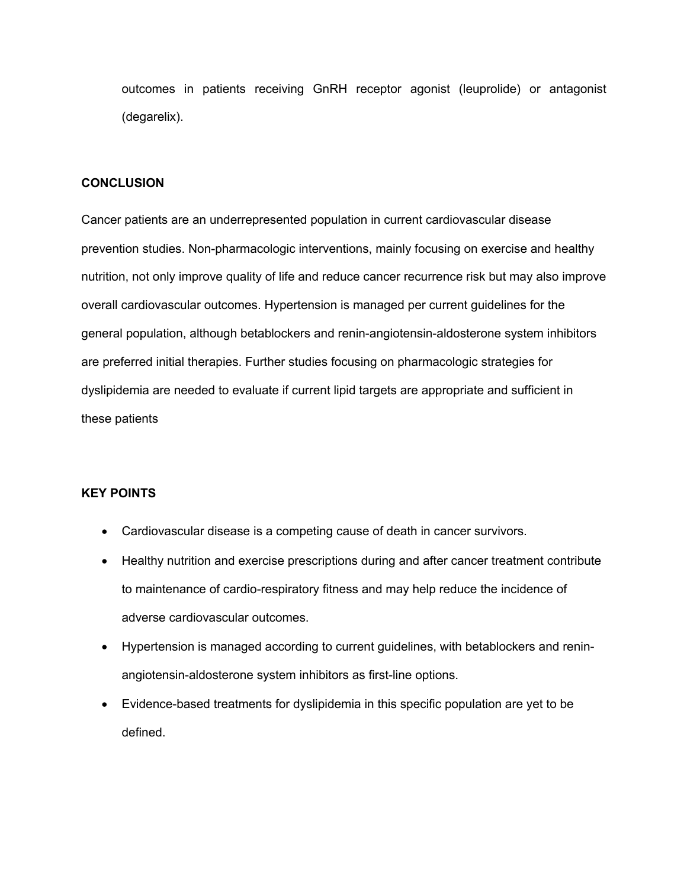outcomes in patients receiving GnRH receptor agonist (leuprolide) or antagonist (degarelix).

### **CONCLUSION**

Cancer patients are an underrepresented population in current cardiovascular disease prevention studies. Non-pharmacologic interventions, mainly focusing on exercise and healthy nutrition, not only improve quality of life and reduce cancer recurrence risk but may also improve overall cardiovascular outcomes. Hypertension is managed per current guidelines for the general population, although betablockers and renin-angiotensin-aldosterone system inhibitors are preferred initial therapies. Further studies focusing on pharmacologic strategies for dyslipidemia are needed to evaluate if current lipid targets are appropriate and sufficient in these patients

### **KEY POINTS**

- Cardiovascular disease is a competing cause of death in cancer survivors.
- Healthy nutrition and exercise prescriptions during and after cancer treatment contribute to maintenance of cardio-respiratory fitness and may help reduce the incidence of adverse cardiovascular outcomes.
- Hypertension is managed according to current guidelines, with betablockers and reninangiotensin-aldosterone system inhibitors as first-line options.
- Evidence-based treatments for dyslipidemia in this specific population are yet to be defined.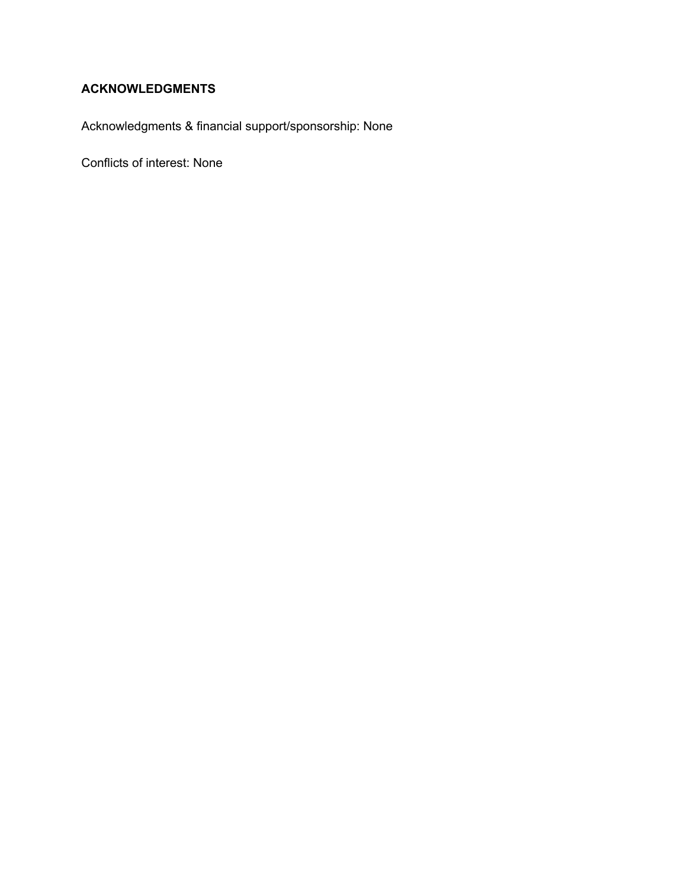## **ACKNOWLEDGMENTS**

Acknowledgments & financial support/sponsorship: None

Conflicts of interest: None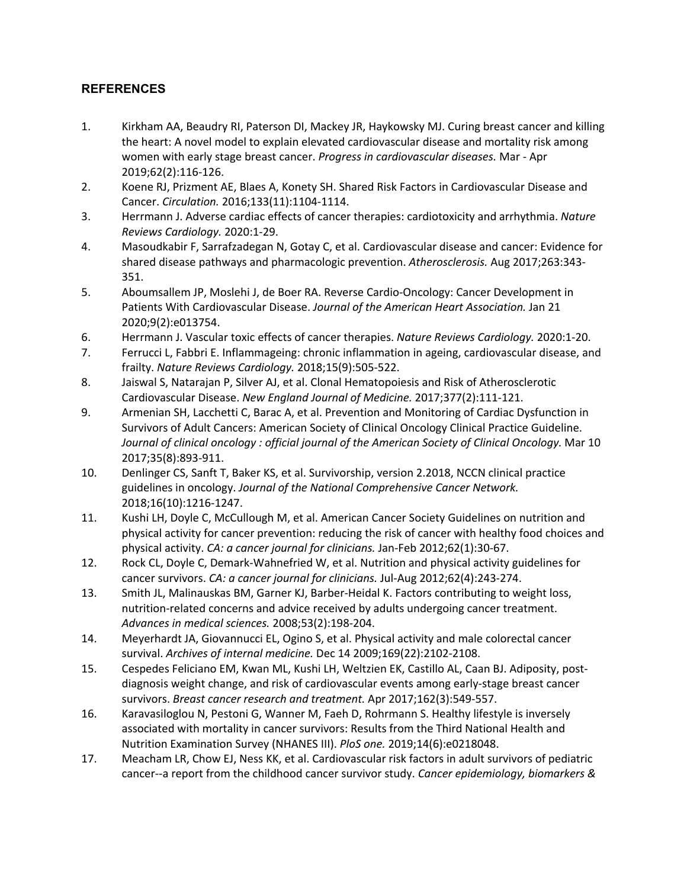### **REFERENCES**

- 1. Kirkham AA, Beaudry RI, Paterson DI, Mackey JR, Haykowsky MJ. Curing breast cancer and killing the heart: A novel model to explain elevated cardiovascular disease and mortality risk among women with early stage breast cancer. *Progress in cardiovascular diseases.* Mar - Apr 2019;62(2):116-126.
- 2. Koene RJ, Prizment AE, Blaes A, Konety SH. Shared Risk Factors in Cardiovascular Disease and Cancer. *Circulation.* 2016;133(11):1104-1114.
- 3. Herrmann J. Adverse cardiac effects of cancer therapies: cardiotoxicity and arrhythmia. *Nature Reviews Cardiology.* 2020:1-29.
- 4. Masoudkabir F, Sarrafzadegan N, Gotay C, et al. Cardiovascular disease and cancer: Evidence for shared disease pathways and pharmacologic prevention. *Atherosclerosis.* Aug 2017;263:343- 351.
- 5. Aboumsallem JP, Moslehi J, de Boer RA. Reverse Cardio-Oncology: Cancer Development in Patients With Cardiovascular Disease. *Journal of the American Heart Association.* Jan 21 2020;9(2):e013754.
- 6. Herrmann J. Vascular toxic effects of cancer therapies. *Nature Reviews Cardiology.* 2020:1-20.
- 7. Ferrucci L, Fabbri E. Inflammageing: chronic inflammation in ageing, cardiovascular disease, and frailty. *Nature Reviews Cardiology.* 2018;15(9):505-522.
- 8. Jaiswal S, Natarajan P, Silver AJ, et al. Clonal Hematopoiesis and Risk of Atherosclerotic Cardiovascular Disease. *New England Journal of Medicine.* 2017;377(2):111-121.
- 9. Armenian SH, Lacchetti C, Barac A, et al. Prevention and Monitoring of Cardiac Dysfunction in Survivors of Adult Cancers: American Society of Clinical Oncology Clinical Practice Guideline. Journal of clinical oncology : official journal of the American Society of Clinical Oncology. Mar 10 2017;35(8):893-911.
- 10. Denlinger CS, Sanft T, Baker KS, et al. Survivorship, version 2.2018, NCCN clinical practice guidelines in oncology. *Journal of the National Comprehensive Cancer Network.*  2018;16(10):1216-1247.
- 11. Kushi LH, Doyle C, McCullough M, et al. American Cancer Society Guidelines on nutrition and physical activity for cancer prevention: reducing the risk of cancer with healthy food choices and physical activity. *CA: a cancer journal for clinicians.* Jan-Feb 2012;62(1):30-67.
- 12. Rock CL, Doyle C, Demark-Wahnefried W, et al. Nutrition and physical activity guidelines for cancer survivors. *CA: a cancer journal for clinicians.* Jul-Aug 2012;62(4):243-274.
- 13. Smith JL, Malinauskas BM, Garner KJ, Barber-Heidal K. Factors contributing to weight loss, nutrition-related concerns and advice received by adults undergoing cancer treatment. *Advances in medical sciences.* 2008;53(2):198-204.
- 14. Meyerhardt JA, Giovannucci EL, Ogino S, et al. Physical activity and male colorectal cancer survival. *Archives of internal medicine.* Dec 14 2009;169(22):2102-2108.
- 15. Cespedes Feliciano EM, Kwan ML, Kushi LH, Weltzien EK, Castillo AL, Caan BJ. Adiposity, postdiagnosis weight change, and risk of cardiovascular events among early-stage breast cancer survivors. *Breast cancer research and treatment.* Apr 2017;162(3):549-557.
- 16. Karavasiloglou N, Pestoni G, Wanner M, Faeh D, Rohrmann S. Healthy lifestyle is inversely associated with mortality in cancer survivors: Results from the Third National Health and Nutrition Examination Survey (NHANES III). *PloS one.* 2019;14(6):e0218048.
- 17. Meacham LR, Chow EJ, Ness KK, et al. Cardiovascular risk factors in adult survivors of pediatric cancer--a report from the childhood cancer survivor study. *Cancer epidemiology, biomarkers &*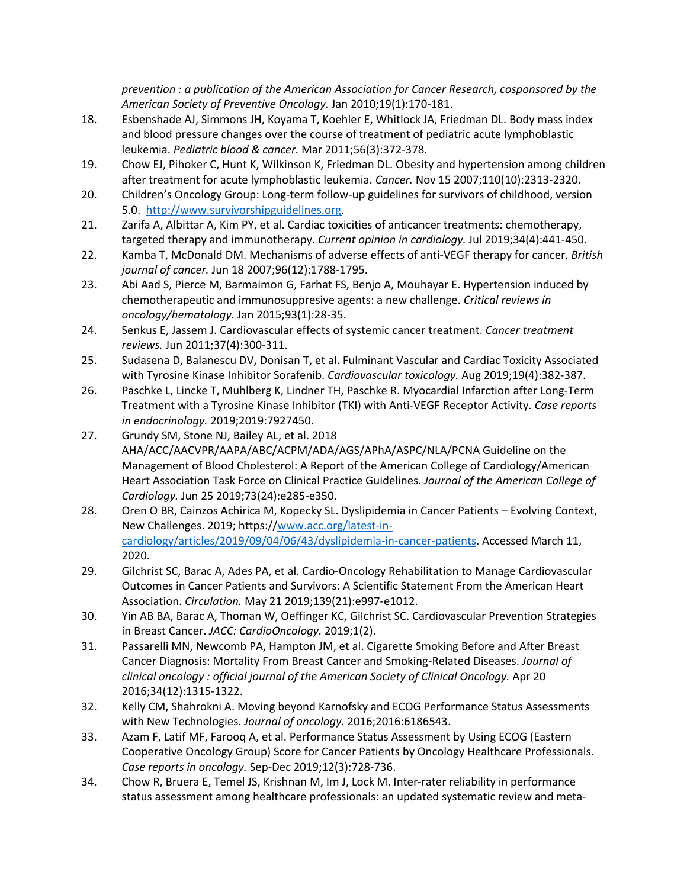*prevention : a publication of the American Association for Cancer Research, cosponsored by the American Society of Preventive Oncology.* Jan 2010;19(1):170-181.

- 18. Esbenshade AJ, Simmons JH, Koyama T, Koehler E, Whitlock JA, Friedman DL. Body mass index and blood pressure changes over the course of treatment of pediatric acute lymphoblastic leukemia. *Pediatric blood & cancer.* Mar 2011;56(3):372-378.
- 19. Chow EJ, Pihoker C, Hunt K, Wilkinson K, Friedman DL. Obesity and hypertension among children after treatment for acute lymphoblastic leukemia. *Cancer.* Nov 15 2007;110(10):2313-2320.
- 20. Children's Oncology Group: Long-term follow-up guidelines for survivors of childhood, version 5.0. http://www.survivorshipguidelines.org.
- 21. Zarifa A, Albittar A, Kim PY, et al. Cardiac toxicities of anticancer treatments: chemotherapy, targeted therapy and immunotherapy. *Current opinion in cardiology.* Jul 2019;34(4):441-450.
- 22. Kamba T, McDonald DM. Mechanisms of adverse effects of anti-VEGF therapy for cancer. *British journal of cancer.* Jun 18 2007;96(12):1788-1795.
- 23. Abi Aad S, Pierce M, Barmaimon G, Farhat FS, Benjo A, Mouhayar E. Hypertension induced by chemotherapeutic and immunosuppresive agents: a new challenge. *Critical reviews in oncology/hematology.* Jan 2015;93(1):28-35.
- 24. Senkus E, Jassem J. Cardiovascular effects of systemic cancer treatment. *Cancer treatment reviews.* Jun 2011;37(4):300-311.
- 25. Sudasena D, Balanescu DV, Donisan T, et al. Fulminant Vascular and Cardiac Toxicity Associated with Tyrosine Kinase Inhibitor Sorafenib. *Cardiovascular toxicology.* Aug 2019;19(4):382-387.
- 26. Paschke L, Lincke T, Muhlberg K, Lindner TH, Paschke R. Myocardial Infarction after Long-Term Treatment with a Tyrosine Kinase Inhibitor (TKI) with Anti-VEGF Receptor Activity. *Case reports in endocrinology.* 2019;2019:7927450.
- 27. Grundy SM, Stone NJ, Bailey AL, et al. 2018 AHA/ACC/AACVPR/AAPA/ABC/ACPM/ADA/AGS/APhA/ASPC/NLA/PCNA Guideline on the Management of Blood Cholesterol: A Report of the American College of Cardiology/American Heart Association Task Force on Clinical Practice Guidelines. *Journal of the American College of Cardiology.* Jun 25 2019;73(24):e285-e350.
- 28. Oren O BR, Cainzos Achirica M, Kopecky SL. Dyslipidemia in Cancer Patients Evolving Context, New Challenges. 2019; https://www.acc.org/latest-incardiology/articles/2019/09/04/06/43/dyslipidemia-in-cancer-patients. Accessed March 11, 2020.
- 29. Gilchrist SC, Barac A, Ades PA, et al. Cardio-Oncology Rehabilitation to Manage Cardiovascular Outcomes in Cancer Patients and Survivors: A Scientific Statement From the American Heart Association. *Circulation.* May 21 2019;139(21):e997-e1012.
- 30. Yin AB BA, Barac A, Thoman W, Oeffinger KC, Gilchrist SC. Cardiovascular Prevention Strategies in Breast Cancer. *JACC: CardioOncology.* 2019;1(2).
- 31. Passarelli MN, Newcomb PA, Hampton JM, et al. Cigarette Smoking Before and After Breast Cancer Diagnosis: Mortality From Breast Cancer and Smoking-Related Diseases. *Journal of clinical oncology : official journal of the American Society of Clinical Oncology.* Apr 20 2016;34(12):1315-1322.
- 32. Kelly CM, Shahrokni A. Moving beyond Karnofsky and ECOG Performance Status Assessments with New Technologies. *Journal of oncology.* 2016;2016:6186543.
- 33. Azam F, Latif MF, Farooq A, et al. Performance Status Assessment by Using ECOG (Eastern Cooperative Oncology Group) Score for Cancer Patients by Oncology Healthcare Professionals. *Case reports in oncology.* Sep-Dec 2019;12(3):728-736.
- 34. Chow R, Bruera E, Temel JS, Krishnan M, Im J, Lock M. Inter-rater reliability in performance status assessment among healthcare professionals: an updated systematic review and meta-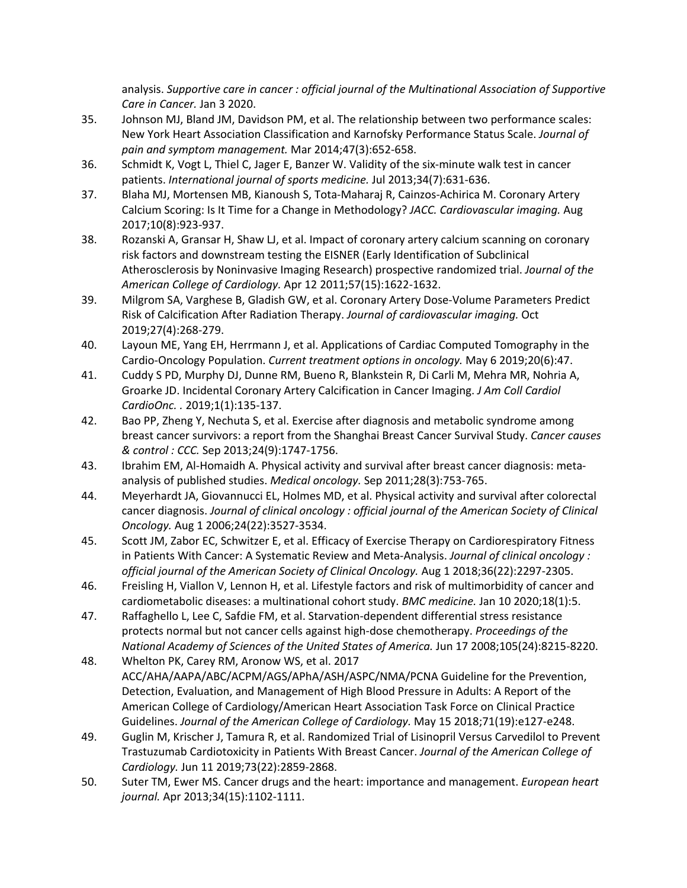analysis. *Supportive care in cancer : official journal of the Multinational Association of Supportive Care in Cancer.* Jan 3 2020.

- 35. Johnson MJ, Bland JM, Davidson PM, et al. The relationship between two performance scales: New York Heart Association Classification and Karnofsky Performance Status Scale. *Journal of pain and symptom management.* Mar 2014;47(3):652-658.
- 36. Schmidt K, Vogt L, Thiel C, Jager E, Banzer W. Validity of the six-minute walk test in cancer patients. *International journal of sports medicine.* Jul 2013;34(7):631-636.
- 37. Blaha MJ, Mortensen MB, Kianoush S, Tota-Maharaj R, Cainzos-Achirica M. Coronary Artery Calcium Scoring: Is It Time for a Change in Methodology? *JACC. Cardiovascular imaging.* Aug 2017;10(8):923-937.
- 38. Rozanski A, Gransar H, Shaw LJ, et al. Impact of coronary artery calcium scanning on coronary risk factors and downstream testing the EISNER (Early Identification of Subclinical Atherosclerosis by Noninvasive Imaging Research) prospective randomized trial. *Journal of the American College of Cardiology.* Apr 12 2011;57(15):1622-1632.
- 39. Milgrom SA, Varghese B, Gladish GW, et al. Coronary Artery Dose-Volume Parameters Predict Risk of Calcification After Radiation Therapy. *Journal of cardiovascular imaging.* Oct 2019;27(4):268-279.
- 40. Layoun ME, Yang EH, Herrmann J, et al. Applications of Cardiac Computed Tomography in the Cardio-Oncology Population. *Current treatment options in oncology.* May 6 2019;20(6):47.
- 41. Cuddy S PD, Murphy DJ, Dunne RM, Bueno R, Blankstein R, Di Carli M, Mehra MR, Nohria A, Groarke JD. Incidental Coronary Artery Calcification in Cancer Imaging. *J Am Coll Cardiol CardioOnc. .* 2019;1(1):135-137.
- 42. Bao PP, Zheng Y, Nechuta S, et al. Exercise after diagnosis and metabolic syndrome among breast cancer survivors: a report from the Shanghai Breast Cancer Survival Study. *Cancer causes & control : CCC.* Sep 2013;24(9):1747-1756.
- 43. Ibrahim EM, Al-Homaidh A. Physical activity and survival after breast cancer diagnosis: metaanalysis of published studies. *Medical oncology.* Sep 2011;28(3):753-765.
- 44. Meyerhardt JA, Giovannucci EL, Holmes MD, et al. Physical activity and survival after colorectal cancer diagnosis. *Journal of clinical oncology : official journal of the American Society of Clinical Oncology.* Aug 1 2006;24(22):3527-3534.
- 45. Scott JM, Zabor EC, Schwitzer E, et al. Efficacy of Exercise Therapy on Cardiorespiratory Fitness in Patients With Cancer: A Systematic Review and Meta-Analysis. *Journal of clinical oncology : official journal of the American Society of Clinical Oncology.* Aug 1 2018;36(22):2297-2305.
- 46. Freisling H, Viallon V, Lennon H, et al. Lifestyle factors and risk of multimorbidity of cancer and cardiometabolic diseases: a multinational cohort study. *BMC medicine.* Jan 10 2020;18(1):5.
- 47. Raffaghello L, Lee C, Safdie FM, et al. Starvation-dependent differential stress resistance protects normal but not cancer cells against high-dose chemotherapy. *Proceedings of the National Academy of Sciences of the United States of America.* Jun 17 2008;105(24):8215-8220.
- 48. Whelton PK, Carey RM, Aronow WS, et al. 2017 ACC/AHA/AAPA/ABC/ACPM/AGS/APhA/ASH/ASPC/NMA/PCNA Guideline for the Prevention, Detection, Evaluation, and Management of High Blood Pressure in Adults: A Report of the American College of Cardiology/American Heart Association Task Force on Clinical Practice Guidelines. *Journal of the American College of Cardiology.* May 15 2018;71(19):e127-e248.
- 49. Guglin M, Krischer J, Tamura R, et al. Randomized Trial of Lisinopril Versus Carvedilol to Prevent Trastuzumab Cardiotoxicity in Patients With Breast Cancer. *Journal of the American College of Cardiology.* Jun 11 2019;73(22):2859-2868.
- 50. Suter TM, Ewer MS. Cancer drugs and the heart: importance and management. *European heart journal.* Apr 2013;34(15):1102-1111.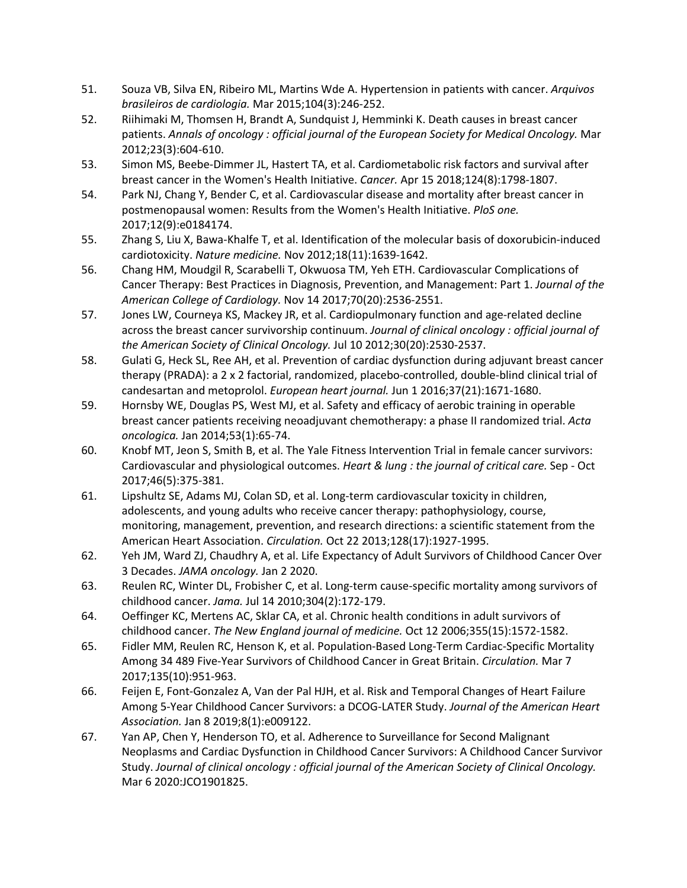- 51. Souza VB, Silva EN, Ribeiro ML, Martins Wde A. Hypertension in patients with cancer. *Arquivos brasileiros de cardiologia.* Mar 2015;104(3):246-252.
- 52. Riihimaki M, Thomsen H, Brandt A, Sundquist J, Hemminki K. Death causes in breast cancer patients. *Annals of oncology : official journal of the European Society for Medical Oncology.* Mar 2012;23(3):604-610.
- 53. Simon MS, Beebe-Dimmer JL, Hastert TA, et al. Cardiometabolic risk factors and survival after breast cancer in the Women's Health Initiative. *Cancer.* Apr 15 2018;124(8):1798-1807.
- 54. Park NJ, Chang Y, Bender C, et al. Cardiovascular disease and mortality after breast cancer in postmenopausal women: Results from the Women's Health Initiative. *PloS one.*  2017;12(9):e0184174.
- 55. Zhang S, Liu X, Bawa-Khalfe T, et al. Identification of the molecular basis of doxorubicin-induced cardiotoxicity. *Nature medicine.* Nov 2012;18(11):1639-1642.
- 56. Chang HM, Moudgil R, Scarabelli T, Okwuosa TM, Yeh ETH. Cardiovascular Complications of Cancer Therapy: Best Practices in Diagnosis, Prevention, and Management: Part 1. *Journal of the American College of Cardiology.* Nov 14 2017;70(20):2536-2551.
- 57. Jones LW, Courneya KS, Mackey JR, et al. Cardiopulmonary function and age-related decline across the breast cancer survivorship continuum. *Journal of clinical oncology : official journal of the American Society of Clinical Oncology.* Jul 10 2012;30(20):2530-2537.
- 58. Gulati G, Heck SL, Ree AH, et al. Prevention of cardiac dysfunction during adjuvant breast cancer therapy (PRADA): a 2 x 2 factorial, randomized, placebo-controlled, double-blind clinical trial of candesartan and metoprolol. *European heart journal.* Jun 1 2016;37(21):1671-1680.
- 59. Hornsby WE, Douglas PS, West MJ, et al. Safety and efficacy of aerobic training in operable breast cancer patients receiving neoadjuvant chemotherapy: a phase II randomized trial. *Acta oncologica.* Jan 2014;53(1):65-74.
- 60. Knobf MT, Jeon S, Smith B, et al. The Yale Fitness Intervention Trial in female cancer survivors: Cardiovascular and physiological outcomes. *Heart & lung : the journal of critical care.* Sep - Oct 2017;46(5):375-381.
- 61. Lipshultz SE, Adams MJ, Colan SD, et al. Long-term cardiovascular toxicity in children, adolescents, and young adults who receive cancer therapy: pathophysiology, course, monitoring, management, prevention, and research directions: a scientific statement from the American Heart Association. *Circulation.* Oct 22 2013;128(17):1927-1995.
- 62. Yeh JM, Ward ZJ, Chaudhry A, et al. Life Expectancy of Adult Survivors of Childhood Cancer Over 3 Decades. *JAMA oncology.* Jan 2 2020.
- 63. Reulen RC, Winter DL, Frobisher C, et al. Long-term cause-specific mortality among survivors of childhood cancer. *Jama.* Jul 14 2010;304(2):172-179.
- 64. Oeffinger KC, Mertens AC, Sklar CA, et al. Chronic health conditions in adult survivors of childhood cancer. *The New England journal of medicine.* Oct 12 2006;355(15):1572-1582.
- 65. Fidler MM, Reulen RC, Henson K, et al. Population-Based Long-Term Cardiac-Specific Mortality Among 34 489 Five-Year Survivors of Childhood Cancer in Great Britain. *Circulation.* Mar 7 2017;135(10):951-963.
- 66. Feijen E, Font-Gonzalez A, Van der Pal HJH, et al. Risk and Temporal Changes of Heart Failure Among 5-Year Childhood Cancer Survivors: a DCOG-LATER Study. *Journal of the American Heart Association.* Jan 8 2019;8(1):e009122.
- 67. Yan AP, Chen Y, Henderson TO, et al. Adherence to Surveillance for Second Malignant Neoplasms and Cardiac Dysfunction in Childhood Cancer Survivors: A Childhood Cancer Survivor Study. *Journal of clinical oncology : official journal of the American Society of Clinical Oncology.*  Mar 6 2020:JCO1901825.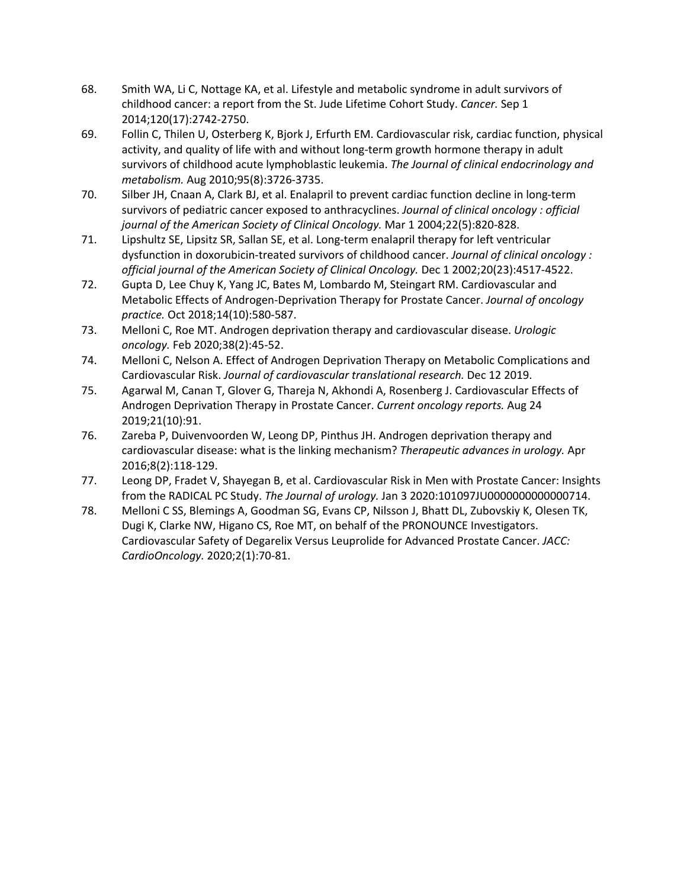- 68. Smith WA, Li C, Nottage KA, et al. Lifestyle and metabolic syndrome in adult survivors of childhood cancer: a report from the St. Jude Lifetime Cohort Study. *Cancer.* Sep 1 2014;120(17):2742-2750.
- 69. Follin C, Thilen U, Osterberg K, Bjork J, Erfurth EM. Cardiovascular risk, cardiac function, physical activity, and quality of life with and without long-term growth hormone therapy in adult survivors of childhood acute lymphoblastic leukemia. *The Journal of clinical endocrinology and metabolism.* Aug 2010;95(8):3726-3735.
- 70. Silber JH, Cnaan A, Clark BJ, et al. Enalapril to prevent cardiac function decline in long-term survivors of pediatric cancer exposed to anthracyclines. *Journal of clinical oncology : official journal of the American Society of Clinical Oncology.* Mar 1 2004;22(5):820-828.
- 71. Lipshultz SE, Lipsitz SR, Sallan SE, et al. Long-term enalapril therapy for left ventricular dysfunction in doxorubicin-treated survivors of childhood cancer. *Journal of clinical oncology : official journal of the American Society of Clinical Oncology.* Dec 1 2002;20(23):4517-4522.
- 72. Gupta D, Lee Chuy K, Yang JC, Bates M, Lombardo M, Steingart RM. Cardiovascular and Metabolic Effects of Androgen-Deprivation Therapy for Prostate Cancer. *Journal of oncology practice.* Oct 2018;14(10):580-587.
- 73. Melloni C, Roe MT. Androgen deprivation therapy and cardiovascular disease. *Urologic oncology.* Feb 2020;38(2):45-52.
- 74. Melloni C, Nelson A. Effect of Androgen Deprivation Therapy on Metabolic Complications and Cardiovascular Risk. *Journal of cardiovascular translational research.* Dec 12 2019.
- 75. Agarwal M, Canan T, Glover G, Thareja N, Akhondi A, Rosenberg J. Cardiovascular Effects of Androgen Deprivation Therapy in Prostate Cancer. *Current oncology reports.* Aug 24 2019;21(10):91.
- 76. Zareba P, Duivenvoorden W, Leong DP, Pinthus JH. Androgen deprivation therapy and cardiovascular disease: what is the linking mechanism? *Therapeutic advances in urology.* Apr 2016;8(2):118-129.
- 77. Leong DP, Fradet V, Shayegan B, et al. Cardiovascular Risk in Men with Prostate Cancer: Insights from the RADICAL PC Study. *The Journal of urology.* Jan 3 2020:101097JU0000000000000714.
- 78. Melloni C SS, Blemings A, Goodman SG, Evans CP, Nilsson J, Bhatt DL, Zubovskiy K, Olesen TK, Dugi K, Clarke NW, Higano CS, Roe MT, on behalf of the PRONOUNCE Investigators. Cardiovascular Safety of Degarelix Versus Leuprolide for Advanced Prostate Cancer. *JACC: CardioOncology.* 2020;2(1):70-81.